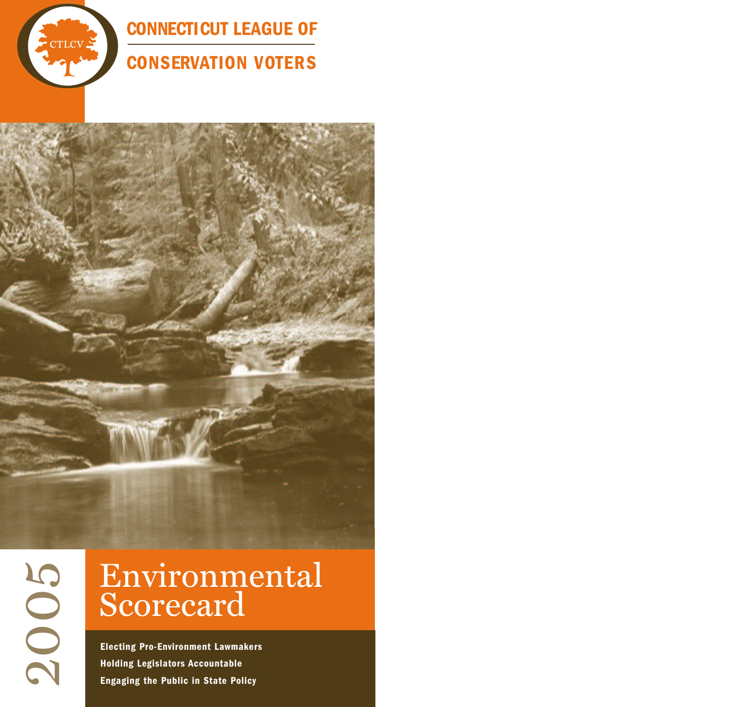

**CONNECTICUT LEAGUE OF** 

## **CONSERVATION VOTERS**

 $\mathbf{\Omega}$  $\bigcirc$ 0 10

## Environmental Scorecard

**Electing Pro-Environment Lawmakers Holding Legislators Accountable Engaging the Public in State Policy**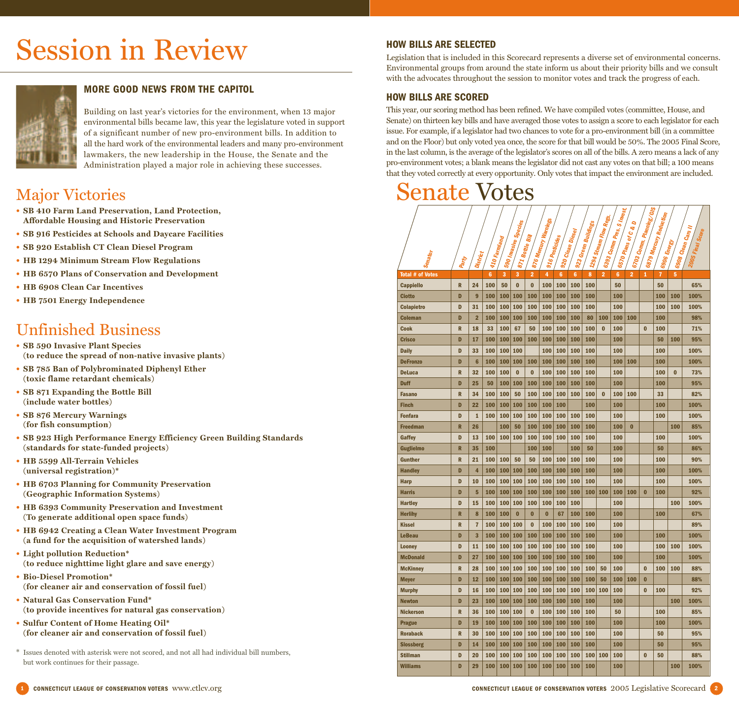# Session in Review



#### **MORE GOOD NEWS FROM THE CAPITOL**

Building on last year's victories for the environment, when 13 major environmental bills became law, this year the legislature voted in support of a significant number of new pro-environment bills. In addition to all the hard work of the environmental leaders and many pro-environment lawmakers, the new leadership in the House, the Senate and the Administration played a major role in achieving these successes.

### Major Victories

- **• SB 410 Farm Land Preservation, Land Protection, Affordable Housing and Historic Preservation**
- **• SB 916 Pesticides at Schools and Daycare Facilities**
- **• SB 920 Establish CT Clean Diesel Program**
- **• HB 1294 Minimum Stream Flow Regulations**
- **• HB 6570 Plans of Conservation and Development**
- **• HB 6908 Clean Car Incentives**
- **• HB 7501 Energy Independence**

### Unfinished Business

- **• SB 590 Invasive Plant Species (to reduce the spread of non-native invasive plants)**
- **• SB 785 Ban of Polybrominated Diphenyl Ether (toxic flame retardant chemicals)**
- **• SB 871 Expanding the Bottle Bill (include water bottles)**
- **• SB 876 Mercury Warnings (for fish consumption)**
- **• SB 923 High Performance Energy Efficiency Green Building Standards (standards for state-funded projects)**
- **• HB 5599 All-Terrain Vehicles (universal registration)\***
- **• HB 6703 Planning for Community Preservation (Geographic Information Systems)**
- **• HB 6393 Community Preservation and Investment (To generate additional open space funds)**
- **• HB 6942 Creating a Clean Water Investment Program (a fund for the acquisition of watershed lands)**
- **• Light pollution Reduction\* (to reduce nighttime light glare and save energy)**
- **• Bio-Diesel Promotion\* (for cleaner air and conservation of fossil fuel)**
- **• Natural Gas Conservation Fund\* (to provide incentives for natural gas conservation)**
- **• Sulfur Content of Home Heating Oil\* (for cleaner air and conservation of fossil fuel)**
- \* Issues denoted with asterisk were not scored, and not all had individual bill numbers, but work continues for their passage.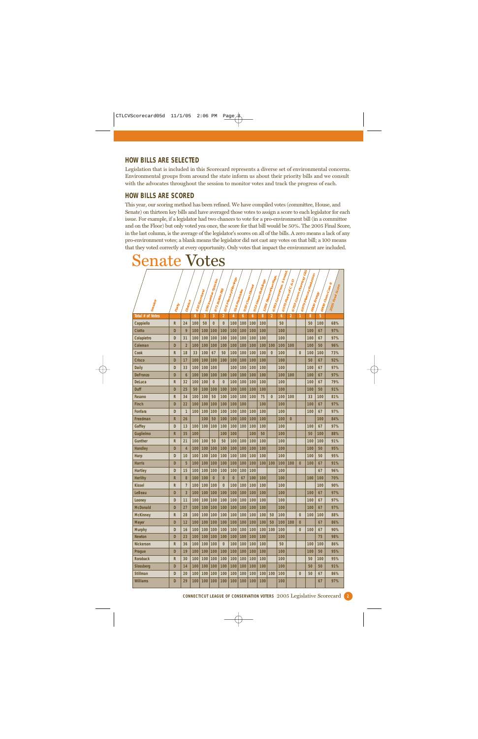#### **HOW BILLS ARE SELECTED**

Legislation that is included in this Scorecard represents a diverse set of environmental concerns. Environmental groups from around the state inform us about their priority bills and we consult with the advocates throughout the session to monitor votes and track the progress of each.

#### **HOW BILLS ARE SCORED**

Senate Votes

This year, our scoring method has been refined. We have compiled votes (committee, House, and Senate) on thirteen key bills and have averaged those votes to assign a score to each legislator for each issue. For example, if a legislator had two chances to vote for a pro-environment bill (in a committee and on the Floor) but only voted yea once, the score for that bill would be 50%. The 2005 Final Score, in the last column, is the average of the legislator's scores on all of the bills. A zero means a lack of any pro-environment votes; a blank means the legislator did not cast any votes on that bill; a 100 means that they voted correctly at every opportunity. Only votes that impact the environment are included.

| 1294 Stream Flow Regs.<br>876 Mercury Warnings<br>590 Invasile Species<br>923 Green Buildings<br>920 Clean Diesel<br>1871 Bottle Bill<br>976 Pesticides<br>1410 Familand |              |                       |     |     |          |                |          |     |     |     |                | 5393 Comm Pres. \$ Invest. | 6570 Plans or C & D | 6703 Comm. Planning/GIS | 6879 Mercury Reduction |     | 6908 Clean Cars II |
|--------------------------------------------------------------------------------------------------------------------------------------------------------------------------|--------------|-----------------------|-----|-----|----------|----------------|----------|-----|-----|-----|----------------|----------------------------|---------------------|-------------------------|------------------------|-----|--------------------|
| Senator                                                                                                                                                                  | <b>Party</b> | <sup>4</sup> District |     |     |          |                |          |     |     |     |                |                            |                     |                         | 16906 Energy           |     | 2005 Final Score   |
| Total # of Votes                                                                                                                                                         |              |                       | 6   | 3   | 3        | $\overline{2}$ | 4        | 6   | 6   | 8   | $\overline{2}$ | $\boldsymbol{6}$           | $\overline{2}$      | 1                       | 8                      | 5   |                    |
| Cappiello                                                                                                                                                                | $\mathsf{R}$ | 24                    | 100 | 50  | $\bf{0}$ | 0              | 100      | 100 | 100 | 100 |                | 50                         |                     |                         | 50                     | 100 | 68%                |
| <b>Ciotto</b>                                                                                                                                                            | D            | 9                     | 100 | 100 | 100      | 100            | 100      | 100 | 100 | 100 |                | 100                        |                     |                         | 100                    | 67  | 97%                |
| Colapietro                                                                                                                                                               | D            | 31                    | 100 | 100 | 100      | 100            | 100      | 100 | 100 | 100 |                | 100                        |                     |                         | 100                    | 67  | 97%                |
| Coleman                                                                                                                                                                  | D            | $\overline{2}$        | 100 | 100 | 100      | 100            | 100      | 100 | 100 | 100 | 100            | 100                        | 100                 |                         | 100                    | 50  | 96%                |
| Cook                                                                                                                                                                     | R            | 18                    | 33  | 100 | 67       | 50             | 100      | 100 | 100 | 100 | $\bf{0}$       | 100                        |                     | $\bf{0}$                | 100                    | 100 | 73%                |
| <b>Crisco</b>                                                                                                                                                            | D            | 17                    | 100 | 100 | 100      | 100            | 100      | 100 | 100 | 100 |                | 100                        |                     |                         | 50                     | 67  | 92%                |
| <b>Daily</b>                                                                                                                                                             | D            | 33                    | 100 | 100 | 100      |                | 100      | 100 | 100 | 100 |                | 100                        |                     |                         | 100                    | 67  | 97%                |
| <b>DeFronzo</b>                                                                                                                                                          | D            | 6                     | 100 | 100 | 100      | 100            | 100      | 100 | 100 | 100 |                | 100                        | 100                 |                         | 100                    | 67  | 97%                |
| <b>DeLuca</b>                                                                                                                                                            | $\mathsf{R}$ | 32                    | 100 | 100 | $\bf{0}$ | $\bf{0}$       | 100      | 100 | 100 | 100 |                | 100                        |                     |                         | 100                    | 67  | 79%                |
| <b>Duff</b>                                                                                                                                                              | D            | 25                    | 50  | 100 | 100      | 100            | 100      | 100 | 100 | 100 |                | 100                        |                     |                         | 100                    | 50  | 91%                |
| Fasano                                                                                                                                                                   | $\mathsf{R}$ | 34                    | 100 | 100 | 50       | 100            | 100      | 100 | 100 | 75  | $\bf{0}$       | 100                        | 100                 |                         | 33                     | 100 | 81%                |
| <b>Finch</b>                                                                                                                                                             | D            | 22                    | 100 | 100 | 100      | 100            | 100      | 100 |     | 100 |                | 100                        |                     |                         | 100                    | 67  | 97%                |
| <b>Fonfara</b>                                                                                                                                                           | D            | $\mathbf{1}$          | 100 | 100 | 100      | 100            | 100      | 100 | 100 | 100 |                | 100                        |                     |                         | 100                    | 67  | 97%                |
| Freedman                                                                                                                                                                 | $\mathsf{R}$ | 26                    |     | 100 | 50       | 100            | 100      | 100 | 100 | 100 |                | 100                        | $\overline{0}$      |                         |                        | 100 | 84%                |
| Gaffey                                                                                                                                                                   | D            | 13                    | 100 | 100 | 100      | 100            | 100      | 100 | 100 | 100 |                | 100                        |                     |                         | 100                    | 67  | 97%                |
| Guglielmo                                                                                                                                                                | $\mathsf{R}$ | 35                    | 100 |     |          | 100            | 100      |     | 100 | 50  |                | 100                        |                     |                         | 50                     | 100 | 88%                |
| <b>Gunther</b>                                                                                                                                                           | $\mathsf{R}$ | 21                    | 100 | 100 | 50       | 50             | 100      | 100 | 100 | 100 |                | 100                        |                     |                         | 100                    | 100 | 91%                |
| <b>Handley</b>                                                                                                                                                           | D            | $\overline{4}$        | 100 | 100 | 100      | 100            | 100      | 100 | 100 | 100 |                | 100                        |                     |                         | 100                    | 50  | 95%                |
| Harp                                                                                                                                                                     | D            | 10                    | 100 | 100 | 100      | 100            | 100      | 100 | 100 | 100 |                | 100                        |                     |                         | 100                    | 50  | 95%                |
| <b>Harris</b>                                                                                                                                                            | D            | 5                     | 100 | 100 | 100      | 100            | 100      | 100 | 100 | 100 | 100            | 100                        | 100                 | $\bf{0}$                | 100                    | 67  | 91%                |
| <b>Hartley</b>                                                                                                                                                           | D            | 15                    | 100 | 100 | 100      | 100            | 100      | 100 | 100 |     |                | 100                        |                     |                         |                        | 67  | 96%                |
| <b>Herlihy</b>                                                                                                                                                           | R            | 8                     | 100 | 100 | $\bf{0}$ | $\bf{0}$       | $\bf{0}$ | 67  | 100 | 100 |                | 100                        |                     |                         | 100                    | 100 | 70%                |
| <b>Kissel</b>                                                                                                                                                            | $\mathsf{R}$ | 7                     | 100 | 100 | 100      | $\bf{0}$       | 100      | 100 | 100 | 100 |                | 100                        |                     |                         |                        | 100 | 90%                |
| <b>LeBeau</b>                                                                                                                                                            | D            | 3                     | 100 | 100 | 100      | 100            | 100      | 100 | 100 | 100 |                | 100                        |                     |                         | 100                    | 67  | 97%                |
| Looney                                                                                                                                                                   | D            | 11                    | 100 | 100 | 100      | 100            | 100      | 100 | 100 | 100 |                | 100                        |                     |                         | 100                    | 67  | 97%                |
| <b>McDonald</b>                                                                                                                                                          | D            | 27                    | 100 | 100 | 100      | 100            | 100      | 100 | 100 | 100 |                | 100                        |                     |                         | 100                    | 67  | 97%                |
| <b>McKinney</b>                                                                                                                                                          | $\mathsf{R}$ | 28                    | 100 | 100 | 100      | 100            | 100      | 100 | 100 | 100 | 50             | 100                        |                     | $\bf{0}$                | 100                    | 100 | 88%                |
| <b>Meyer</b>                                                                                                                                                             | D            | 12                    | 100 | 100 | 100      | 100            | 100      | 100 | 100 | 100 | 50             | 100                        | 100                 | 0                       |                        | 67  | 86%                |
| <b>Murphy</b>                                                                                                                                                            | D            | 16                    | 100 | 100 | 100      | 100            | 100      | 100 | 100 | 100 | 100            | 100                        |                     | $\bf{0}$                | 100                    | 67  | 90%                |
| <b>Newton</b>                                                                                                                                                            | D            | 23                    | 100 | 100 | 100      | 100            | 100      | 100 | 100 | 100 |                | 100                        |                     |                         |                        | 75  | 98%                |
| <b>Nickerson</b>                                                                                                                                                         | $\mathsf R$  | 36                    | 100 | 100 | 100      | $\bf{0}$       | 100      | 100 | 100 | 100 |                | 50                         |                     |                         | 100                    | 100 | 86%                |
| Prague                                                                                                                                                                   | D            | 19                    | 100 | 100 | 100      | 100            | 100      | 100 | 100 | 100 |                | 100                        |                     |                         | 100                    | 50  | 95%                |
| <b>Roraback</b>                                                                                                                                                          | $\mathsf R$  | 30                    | 100 | 100 | 100      | 100            | 100      | 100 | 100 | 100 |                | 100                        |                     |                         | 50                     | 100 | 95%                |
| <b>Slossberg</b>                                                                                                                                                         | D            | 14                    | 100 | 100 | 100      | 100            | 100      | 100 | 100 | 100 |                | 100                        |                     |                         | 50                     | 50  | 91%                |
| <b>Stillman</b>                                                                                                                                                          | D            | 20                    | 100 | 100 | 100      | 100            | 100      | 100 | 100 | 100 | 100            | 100                        |                     | $\bf{0}$                | 50                     | 67  | 86%                |
| <b>Williams</b>                                                                                                                                                          | D            | 29                    | 100 | 100 | 100      | 100            | 100      | 100 | 100 | 100 |                | 100                        |                     |                         |                        | 67  | 97%                |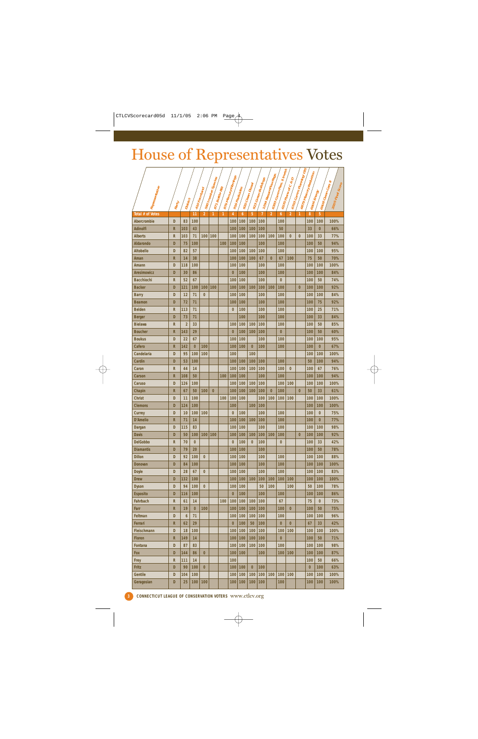## House of Representatives Votes

|                         |               |                 |               |                |                  |                |           |                         |                  |                     |                        | . \$ Invest.      |                            | <sup>1. Planning/GIS</sup> | <b>S</b> 6879 Mercury Reduction |                             |                                               |
|-------------------------|---------------|-----------------|---------------|----------------|------------------|----------------|-----------|-------------------------|------------------|---------------------|------------------------|-------------------|----------------------------|----------------------------|---------------------------------|-----------------------------|-----------------------------------------------|
|                         |               |                 |               |                | ' Species        |                | / Wamings |                         |                  | 923 Green Buildings | 1294 Stream Flow Regs. |                   | 6570 Plans of C & D        |                            |                                 |                             |                                               |
|                         |               |                 |               |                |                  |                |           |                         | 920 Clean Diesel |                     |                        | 6393 Comm Pres. y |                            |                            |                                 |                             | 2005 Final Score<br>$\sqrt{c_{\mathsf{drg}}}$ |
| Representative          |               |                 | 4410 Farmland | 590 Invasive s | 1871 Bottle Bill | 1876 Marcury w |           | <sup>3</sup> Pesticides |                  |                     |                        |                   | $\int$ 6703 $c_{0mm}$ $_F$ |                            | <b>A</b> 6906 Energy            | $16908$ $C$ lean $\epsilon$ |                                               |
|                         |               | <b>District</b> |               |                |                  |                |           |                         |                  |                     |                        |                   |                            |                            |                                 |                             |                                               |
|                         | <b>Auedit</b> |                 |               |                |                  |                | 1976      |                         |                  |                     |                        |                   |                            |                            |                                 |                             |                                               |
| <b>Total # of Votes</b> |               |                 | 11            | $\overline{2}$ | 1                | 1              | 4         | $\boldsymbol{6}$        | 5                | $\overline{1}$      | $\overline{2}$         | 6                 | $\overline{2}$             | 1                          | 8                               | 5                           |                                               |
| <b>Abercrombie</b>      | D             | 83              | 100           |                |                  |                | 100       | 100                     | 100              | 100                 |                        | 100               |                            |                            | 100                             | 100                         | 100%                                          |
| <b>Adinolfi</b>         | R             | 103             | 43            |                |                  |                | 100       | 100                     | 100              | 100                 |                        | 50                |                            |                            | 33                              | $\bf{0}$                    | 66%                                           |
| <b>Alberts</b>          | $\mathsf{R}$  | 103             | 71            | 100            | 100              |                | 100       | 100                     | 100              | 100                 | 100                    | 100               | $\bf{0}$                   | $\bf{0}$                   | 100                             | 33                          | 77%                                           |
| <b>Aldarondo</b>        | D             | 75              | 100           |                |                  | 100            | 100       | 100                     |                  | 100                 |                        | 100               |                            |                            | 100                             | 50                          | 94%                                           |
| <b>Altobello</b>        | D             | 82              | 57            |                |                  |                | 100       | 100                     | 100              | 100                 |                        | 100               |                            |                            | 100                             | 100                         | 95%                                           |
| Aman                    | $\mathsf R$   | 14              | 38            |                |                  |                | 100       | 100                     | 100              | 67                  | $\bf{0}$               | 67                | 100                        |                            | 75                              | 50                          | 70%                                           |
| Amann                   | D             | 118             | 100           |                |                  |                | 100       | 100                     |                  | 100                 |                        | 100               |                            |                            | 100                             | 100                         | 100%                                          |
| <b>Aresimowicz</b>      | D             | 30              | 86            |                |                  |                | $\bf{0}$  | 100                     |                  | 100                 |                        | 100               |                            |                            | 100                             | 100                         | 84%                                           |
| <b>Bacchiochi</b>       | R             | 52              | 67            |                |                  |                | 100       | 100                     |                  | 100                 |                        | $\overline{0}$    |                            |                            | 100                             | 50                          | 74%                                           |
| <b>Backer</b>           | D             | 121             | 100           | 100            | 100              |                | 100       | 100                     | 100              | 100                 | 100                    | 100               |                            | $\bf{0}$                   | 100                             | 100                         | 92%                                           |
| <b>Barry</b>            | D             | 12              | 71            | $\bf{0}$       |                  |                | 100       | 100                     |                  | 100                 |                        | 100               |                            |                            | 100                             | 100                         | 84%                                           |
| <b>Beamon</b>           | D             | 72              | 71            |                |                  |                | 100       | 100                     |                  | 100                 |                        | 100               |                            |                            | 100                             | 75                          | 92%                                           |
| <b>Belden</b>           | $\mathsf R$   | 113             | 71            |                |                  |                | $\bf{0}$  | 100                     |                  | 100                 |                        | 100               |                            |                            | 100                             | 25                          | 71%                                           |
| <b>Berger</b>           | D             | 73              | 71            |                |                  |                |           | 100                     |                  | 100                 |                        | 100               |                            |                            | 100                             | 33                          | 84%                                           |
| <b>Bielawa</b>          | R             | $\overline{2}$  | 33            |                |                  |                | 100       | 100                     | 100              | 100                 |                        | 100               |                            |                            | 100                             | 50                          | 85%                                           |
| <b>Boucher</b>          | $\mathsf{R}$  | 143             | 29            |                |                  |                | $\bf{0}$  | 100                     | 100              | 100                 |                        | $\bf{0}$          |                            |                            | 100                             | 50                          | 60%                                           |
| <b>Boukus</b>           | D             | 22              | 67            |                |                  |                | 100       | 100                     |                  | 100                 |                        | 100               |                            |                            | 100                             | 100                         | 95%                                           |
| Cafero                  | $\mathsf{R}$  | 142             | $\bf{0}$      | 100            |                  |                | 100       | 100                     | $\bf{0}$         | 100                 |                        | 100               |                            |                            | 100                             | $\bf{0}$                    | 67%                                           |
| Candelaria              | D             | 95              | 100           | 100            |                  |                | 100       |                         | 100              |                     |                        |                   |                            |                            | 100                             | 100                         | 100%                                          |
| Cardin                  | D             | 53              | 100           |                |                  |                | 100       | 100                     | 100              | 100                 |                        | 100               |                            |                            | 50                              | 100                         | 94%                                           |
| Caron                   | $\mathsf{R}$  | 44              | 14            |                |                  |                | 100       | 100                     | 100              | 100                 |                        | 100               | $\bf{0}$                   |                            | 100                             | 67                          | 76%                                           |
| Carson                  | R             | 108             | 50            |                |                  | 100            | 100       | 100                     |                  | 100                 |                        | 100               |                            |                            | 100                             | 100                         | 94%                                           |
| <b>Caruso</b>           | D             | 126             | 100           |                |                  |                | 100       | 100                     | 100              | 100                 |                        | 100               | 100                        |                            | 100                             | 100                         | 100%                                          |
| Chapin                  | $\mathsf{R}$  | 67              | 50            | 100            | $\bf{0}$         |                | 100       | 100                     | 100              | 100                 | $\bf{0}$               | 100               |                            | $\bf{0}$                   | 50                              | 33                          | 61%                                           |
| <b>Christ</b>           | D             | 11              | 100           |                |                  | 100            | 100       | 100                     |                  | 100                 | 100                    | 100               | 100                        |                            | 100                             | 100                         | 100%                                          |
| <b>Clemons</b>          | D             | 124             | 100           |                |                  |                | 100       |                         | 100              | 100                 |                        |                   |                            |                            | 100                             | 100                         | 100%                                          |
| <b>Currey</b>           | D             | 10              | 100           | 100            |                  |                | $\bf{0}$  | 100                     |                  | 100                 |                        | 100               |                            |                            | 100                             | $\bf{0}$                    | 75%                                           |
| <b>D'Amelio</b>         | $\mathsf{R}$  | 71              | 14            |                |                  |                | 100       | 100                     | 100              | 100                 |                        | 100               |                            |                            | 100                             | $\bf{0}$                    | 77%                                           |
| Dargan                  | D             | 115             | 83            |                |                  |                | 100       | 100                     |                  | 100                 |                        | 100               |                            |                            | 100                             | 100                         | 98%                                           |
| <b>Davis</b>            | D             | 50              | 100           | 100            | 100              |                | 100       | 100                     | 100              | 100                 | 100                    | 100               |                            | $\bf{0}$                   | 100                             | 100                         | 92%                                           |
| <b>DelGobbo</b>         | R             | 70              | 0             |                |                  |                | 0         | 100                     | $\bf{0}$         | 100                 |                        | $\bf{0}$          |                            |                            | 100                             | 33                          | 42%                                           |
| <b>Diamantis</b>        | D             | 79              | 20            |                |                  |                | 100       | 100                     |                  | 100                 |                        |                   |                            |                            | 100                             | 50                          | 78%                                           |
| <b>Dillon</b>           | D             | 92              | 100           | $\bf{0}$       |                  |                | 100       | 100                     |                  | 100                 |                        | 100               |                            |                            | 100                             | 100                         | 88%                                           |
| <b>Donovan</b>          | D             | 84              | 100           |                |                  |                | 100       | 100                     |                  | 100                 |                        | 100               |                            |                            | 100                             | 100                         | 100%                                          |
| <b>Doyle</b>            | D             | 28              | 67            | $\bf{0}$       |                  |                | 100       | 100                     |                  | 100                 |                        | 100               |                            |                            | 100                             | 100                         | 83%                                           |
| <b>Drew</b>             | D             | 132             | 100           |                |                  |                | 100       | 100                     | 100              | 100                 | 100                    | 100               | 100                        |                            | 100                             | 100                         | 100%                                          |
| <b>Dyson</b>            | D             | 94              | 100           | $\bf{0}$       |                  |                | 100       | 100                     |                  | 50                  | 100                    |                   | 100                        |                            | 50                              | 100                         | 78%                                           |
| <b>Esposito</b>         | D             | 116             | 100           |                |                  |                | $\bf{0}$  | 100                     |                  | 100                 |                        | 100               |                            |                            | 100                             | 100                         | 86%                                           |
| <b>Fahrbach</b>         | $\mathsf R$   | 61              | 14            |                |                  | 100            | 100       | 100                     | 100              | 100                 |                        | 67                |                            |                            | 75                              | $\bf{0}$                    | 73%                                           |
| Farr                    | $\mathsf R$   | 19              | $\bf{0}$      | 100            |                  |                | 100       | 100                     | 100              | 100                 |                        | 100               | $\mathbf{0}$               |                            | 100                             | 50                          | 75%                                           |
| Feltman                 | D             | 6               | 71            |                |                  |                | 100       | 100                     | 100              | 100                 |                        | 100               |                            |                            | 100                             | 100                         | 96%                                           |
| Ferrari                 | $\mathsf{R}$  | 62              | 29            |                |                  |                | $\bf{0}$  | 100                     | 50               | 100                 |                        | $\bf{0}$          | $\bf{0}$                   |                            | 67                              | 33                          | 42%                                           |
| Fleischmann             | D             | 18              | 100           |                |                  |                | 100       | 100                     | 100              | 100                 |                        | 100               | 100                        |                            | 100                             | 100                         | 100%                                          |
| <b>Floren</b>           | $\mathsf R$   | 149             | 14            |                |                  |                | 100       | 100                     | 100              | 100                 |                        | $\bf{0}$          |                            |                            | 100                             | 50                          | 71%                                           |
| <b>Fontana</b>          | D             | 87              | 83            |                |                  |                | 100       | 100                     | 100              | 100                 |                        | 100               |                            |                            | 100                             | 100                         | 98%                                           |
| <b>Fox</b>              | D             | 144             | 86            | $\bf{0}$       |                  |                | 100       | 100                     |                  | 100                 |                        | 100               | 100                        |                            | 100                             | 100                         | 87%                                           |
| Frey                    | $\mathsf R$   | 111             | 14            |                |                  |                | 100       |                         |                  |                     |                        |                   |                            |                            | 100                             | 50                          | 66%                                           |
| Fritz                   | D             | 90              | 100           | $\bf{0}$       |                  |                | 100       | 100                     | $\bf{0}$         | 100                 |                        |                   |                            |                            | $\mathbf{0}$                    | 100                         | 63%                                           |
| <b>Gentile</b>          | D             | 104             | 100           |                |                  |                | 100       | 100                     | 100              | 100                 | 100                    | 100               | 100                        |                            | 100                             | 100                         | 100%                                          |
| Geragosian              | D             | 25              | 100           | 100            |                  |                | 100       | 100                     | 100              | 100                 |                        | 100               |                            |                            | 100                             | 100                         | 100%                                          |
|                         |               |                 |               |                |                  |                |           |                         |                  |                     |                        |                   |                            |                            |                                 |                             |                                               |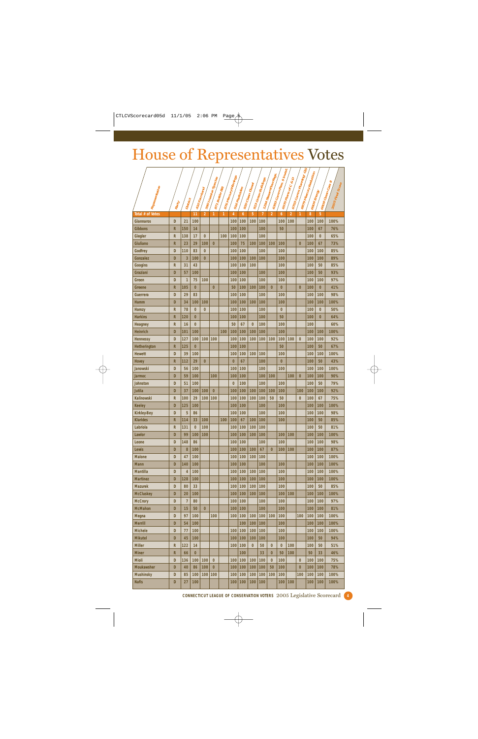## House of Representatives Votes

|                     |               |                       |                |                |                      |      |                    |                         |                  |                     |                     | 393 Comm Pres. \$ Invest. |                     | <b>4</b> 6703 Comm. Planning/GIS | <b>6879 Mercury Reduction</b> |                          |                                       |
|---------------------|---------------|-----------------------|----------------|----------------|----------------------|------|--------------------|-------------------------|------------------|---------------------|---------------------|---------------------------|---------------------|----------------------------------|-------------------------------|--------------------------|---------------------------------------|
|                     |               |                       |                |                | 590 Inlastie Spectes |      | 6 Mercury Warnings |                         |                  | 923 Green Buildings | 4 Stream Flow Regs. |                           | 6570 Plans of C & D |                                  |                               |                          |                                       |
|                     |               |                       |                |                |                      |      |                    |                         | 920 Clean Diesel |                     |                     |                           |                     |                                  |                               |                          | 2005 Final Score<br>$1C_{\text{dry}}$ |
| Representative      |               |                       | 410 Farmland   |                | 871 Bottle Bill      |      |                    | <sup>3</sup> Pesticides |                  |                     |                     |                           |                     |                                  | <b>A</b> 6906 Energy          | 16908 Clean <sub>C</sub> |                                       |
|                     |               | <sup>4 District</sup> |                |                |                      |      |                    |                         |                  |                     |                     |                           |                     |                                  |                               |                          |                                       |
|                     | <b>Albert</b> |                       |                |                |                      | 1876 | 1976/              |                         |                  | 1294                |                     |                           |                     |                                  |                               |                          |                                       |
| Total # of Votes    |               |                       | 11             | $\overline{2}$ | 1                    | 1    | 4                  | 6                       | 5                | 7                   | $\overline{2}$      | 6                         | $\overline{2}$      | 1                                | 8                             | 5                        |                                       |
| <b>Giannaros</b>    | D             | 21                    | 100            |                |                      |      | 100                | 100                     | 100              | 100                 |                     | 100                       | 100                 |                                  | 100                           | 100                      | 100%                                  |
| <b>Gibbons</b>      | R             | 150                   | 14             |                |                      |      | 100                | 100                     |                  | 100                 |                     | 50                        |                     |                                  | 100                           | 67                       | 76%                                   |
| Giegler             | R             | 138                   | 17             | $\bf{0}$       |                      | 100  | 100                | 100                     |                  | 100                 |                     |                           |                     |                                  | 100                           | $\bf{0}$                 | 65%                                   |
| Giuliano            | R             | 23                    | 29             | 100            | $\bf{0}$             |      | 100                | 75                      | 100              | 100                 | 100                 | 100                       |                     | $\bf{0}$                         | 100                           | 67                       | 73%                                   |
| Godfrey             | D             | 110                   | 83             | $\bf{0}$       |                      |      | 100                | 100                     |                  | 100                 |                     | 100                       |                     |                                  | 100                           | 100                      | 85%                                   |
| Gonzalez            | D             | 3                     | 100            | $\bf{0}$       |                      |      | 100                | 100                     | 100              | 100                 |                     | 100                       |                     |                                  | 100                           | 100                      | 89%                                   |
| Googins             | R             | 31                    | 43             |                |                      |      | 100                | 100                     | 100              |                     |                     | 100                       |                     |                                  | 100                           | 50                       | 85%                                   |
| Graziani            | D             | 57                    | 100            |                |                      |      | 100                | 100                     |                  | 100                 |                     | 100                       |                     |                                  | 100                           | 50                       | 93%                                   |
| Green               | D             | $\mathbf{1}$          | 75             | 100            |                      |      | 100                | 100                     |                  | 100                 |                     | 100                       |                     |                                  | 100                           | 100                      | 97%                                   |
| Greene              | R             | 105                   | 0              |                | $\overline{0}$       |      | 50                 | 100                     | 100              | 100                 | $\bf{0}$            | $\bf{0}$                  |                     | $\bf{0}$                         | 100                           | $\bf{0}$                 | 41%                                   |
| Guerrera            | D             | 29                    | 83             |                |                      |      | 100                | 100                     |                  | 100                 |                     | 100                       |                     |                                  | 100                           | 100                      | 98%                                   |
| <b>Hamm</b>         | D             | 34                    | 100            | 100            |                      |      | 100                | 100                     | 100              | 100                 |                     | 100                       |                     |                                  | 100                           | 100                      | 100%                                  |
| Hamzy               | R             | 78                    | $\overline{0}$ | $\bf{0}$       |                      |      | 100                | 100                     |                  | 100                 |                     | $\bf{0}$                  |                     |                                  | 100                           | $\bf{0}$                 | 50%                                   |
| <b>Harkins</b>      | R             | 120                   | 0              |                |                      |      | 100                | 100                     |                  | 100                 |                     | 50                        |                     |                                  | 100                           | $\bf{0}$                 | 64%                                   |
| <b>Heagney</b>      | R             | 16                    | $\overline{0}$ |                |                      |      | 50                 | 67                      | $\overline{0}$   | 100                 |                     | 100                       |                     |                                  | 100                           |                          | 60%                                   |
| Heinrich            | D             | 101                   | 100            |                |                      | 100  | 100                | 100                     | 100              | 100                 |                     | 100                       |                     |                                  | 100                           | 100                      | 100%                                  |
| <b>Hennessy</b>     | D             | 127                   | 100            | 100            | 100                  |      | 100                | 100                     | 100              | 100                 | 100                 | 100                       | 100                 | $\bf{0}$                         | 100                           | 100                      | 92%                                   |
| <b>Hetherington</b> | R             | 125                   | $\bf{0}$       |                |                      |      | 100                | 100                     |                  |                     |                     | 50                        |                     |                                  | 100                           | 50                       | 67%                                   |
| <b>Hewett</b>       | D             | 39                    | 100            |                |                      |      | 100                | 100                     | 100              | 100                 |                     | 100                       |                     |                                  | 100                           | 100                      | 100%                                  |
| <b>Hovey</b>        | R             | 112                   | 29             | $\bf{0}$       |                      |      | $\bf{0}$           | 67                      |                  | 100                 |                     | $\bf{0}$                  |                     |                                  | 100                           | 50                       | 43%                                   |
| Janowski            | D             | 56                    | 100            |                |                      |      | 100                | 100                     |                  | 100                 |                     | 100                       |                     |                                  | 100                           | 100                      | 100%                                  |
| <b>Jarmoc</b>       | D             | 59                    | 100            |                | 100                  |      | 100                | 100                     |                  | 100                 | 100                 |                           | 100                 | 0                                | 100                           | 100                      | 90%                                   |
| Johnston            | D             | 51                    | 100            |                |                      |      | $\bf{0}$           | 100                     |                  | 100                 |                     | 100                       |                     |                                  | 100                           | 50                       | 79%                                   |
| Jutila              | D             | 37                    | 100            | 100            | $\bf{0}$             |      | 100                | 100                     | 100              | 100                 | 100                 | 100                       |                     | 100                              | 100                           | 100                      | 92%                                   |
| <b>Kalinowski</b>   | R             | 100                   | 29             | 100            | 100                  |      | 100                | 100                     | 100              | 100                 | 50                  | 50                        |                     | $\bf{0}$                         | 100                           | 67                       | 75%                                   |
| Keeley              | D             | 125                   | 100            |                |                      |      | 100                | 100                     |                  | 100                 |                     | 100                       |                     |                                  | 100                           | 100                      | 100%                                  |
| <b>Kirkley-Bey</b>  | D             | 5                     | 86             |                |                      |      | 100                | 100                     |                  | 100                 |                     | 100                       |                     |                                  | 100                           | 100                      | 98%                                   |
| <b>Klarides</b>     | R             | 114                   | 33             | 100            |                      | 100  | 100                | 67                      | 100              | 100                 |                     | 100                       |                     |                                  | 100                           | 50                       | 85%                                   |
| Labriola            | R             | 131                   | 0              | 100            |                      |      | 100                | 100                     | 100              | 100                 |                     |                           |                     |                                  | 100                           | 50                       | 81%                                   |
| Lawlor              | D             | 99                    | 100            | 100            |                      |      | 100                | 100                     | 100              | 100                 |                     | 100                       | 100                 |                                  | 100                           | 100                      | 100%                                  |
| Leone               | D             | 148                   | 86             |                |                      |      | 100                | 100                     |                  | 100                 |                     | 100                       |                     |                                  | 100                           | 100                      | 98%                                   |
| Lewis               | D             | 8                     | 100            |                |                      |      | 100                | 100                     | 100              | 67                  | $\bf{0}$            | 100                       | 100                 |                                  | 100                           | 100                      | 87%                                   |
| <b>Malone</b>       | D             | 47                    | 100            |                |                      |      | 100                | 100                     | 100              | 100                 |                     |                           |                     |                                  | 100                           | 100                      | 100%                                  |
| <b>Mann</b>         | D             | 140                   | 100            |                |                      |      | 100                | 100                     |                  | 100                 |                     | 100                       |                     |                                  | 100                           | 100                      | 100%                                  |
| <b>Mantilla</b>     | D             | 4                     | 100            |                |                      |      | 100                | 100                     | 100              | 100                 |                     | 100                       |                     |                                  | 100                           | 100                      | 100%                                  |
| <b>Martinez</b>     | D             | 128                   | 100            |                |                      |      | 100                | 100                     | 100              | 100                 |                     | 100                       |                     |                                  | 100                           | 100                      | 100%                                  |
| <b>Mazurek</b>      | D             | 80                    | 33             |                |                      |      | 100                | 100                     | 100              | 100                 |                     | 100                       |                     |                                  | 100                           | 50                       | 85%                                   |
| <b>McCluskey</b>    | D             | 20                    | 100            |                |                      |      | 100                | 100                     | 100              | 100                 |                     | 100                       | 100                 |                                  | 100                           | 100                      | 100%                                  |
| <b>McCrory</b>      | D             | $\overline{7}$        | 80             |                |                      |      | 100                | 100                     |                  | 100                 |                     | 100                       |                     |                                  | 100                           | 100                      | 97%                                   |
| <b>McMahon</b>      | D             | 15                    | 50             | $\bf{0}$       |                      |      | 100                | 100                     |                  | 100                 |                     | 100                       |                     |                                  | 100                           | 100                      | 81%                                   |
|                     | D             | 97                    | 100            |                | 100                  |      | 100                | 100                     | 100              | 100                 | 100                 | 100                       |                     | 100                              | 100                           | 100                      |                                       |
| Megna               |               |                       |                |                |                      |      |                    |                         |                  |                     |                     |                           |                     |                                  |                               |                          | 100%                                  |
| <b>Merrill</b>      | D             | 54                    | 100            |                |                      |      |                    | 100                     | 100              | 100                 |                     | 100                       |                     |                                  | 100                           | 100                      | 100%                                  |
| <b>Michele</b>      | D             | 77                    | 100            |                |                      |      | 100                | 100                     | 100              | 100                 |                     | 100                       |                     |                                  | 100                           | 100                      | 100%                                  |
| <b>Mikutel</b>      | D             | 45                    | 100            |                |                      |      | 100                | 100                     | 100              | 100                 |                     | 100                       |                     |                                  | 100                           | 50                       | 94%                                   |
| <b>Miller</b>       | R             | 122                   | 14             |                |                      |      | 100                | 100                     | $\bf{0}$         | 50                  | $\bf{0}$            | $\bf{0}$                  | 100                 |                                  | 100                           | 50                       | 51%                                   |
| <b>Miner</b>        | R             | 66                    | $\bf{0}$       |                |                      |      |                    | 100                     |                  | 33                  | $\bf{0}$            | 50                        | 100                 |                                  | 50                            | 33                       | 46%                                   |
| Mioli               | D             | 136                   | 100            | 100            | $\bf{0}$             |      | 100                | 100                     | 100              | 100                 | $\bf{0}$            | 100                       |                     | $\bf{0}$                         | 100                           | 100                      | 75%                                   |
| <b>Moukawsher</b>   | D             | 40                    | 86             | 100            | $\bf{0}$             |      | 100                | 100                     | 100              | 100                 | 50                  | 100                       |                     | $\bf{0}$                         | 100                           | 100                      | 78%                                   |
| <b>Mushinsky</b>    | D             | 85                    | 100            | 100            | 100                  |      | 100                | 100                     | 100              | 100                 | 100                 | 100                       |                     | 100                              | 100                           | 100                      | 100%                                  |
| <b>Nafis</b>        | D             | 27                    | 100            |                |                      |      | 100                | 100                     | 100              | 100                 |                     | 100                       | 100                 |                                  | 100                           | 100                      | 100%                                  |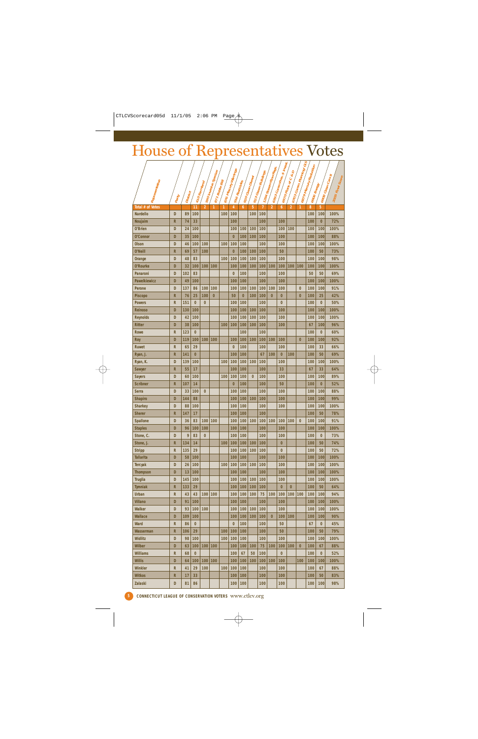## House of Representatives Votes

|                         |                         |          |                |                | 590 Inlastire Species |                | / Wamings      |          |                  | <sup>3</sup> Green Buildings | 4 Stream Flow Regs.     | 6393 Comm Pres. \$ Imest. | $\int$ of $C \otimes D$       | <sup>t. Planning/GIS</sup> | 6879 Mercury Reduction |                                      | ≈                        |
|-------------------------|-------------------------|----------|----------------|----------------|-----------------------|----------------|----------------|----------|------------------|------------------------------|-------------------------|---------------------------|-------------------------------|----------------------------|------------------------|--------------------------------------|--------------------------|
|                         |                         |          |                |                |                       |                |                |          | 920 Clean Diesel |                              |                         |                           |                               |                            |                        |                                      | 2005 Final Score<br>(Ca) |
| Representative          |                         |          | 1410 Farmland  |                | 1871 Bottle Bill      | 1876 Mercury w | 976 Pesticides |          |                  |                              |                         | 16570 Plans c             | $\int$ 6703 $c_{0m m}$ , $_F$ |                            |                        | 1690 <sub>8</sub> Clean <sub>(</sub> |                          |
|                         |                         |          |                |                |                       |                |                |          |                  |                              |                         |                           |                               |                            |                        | <b>Energy</b>                        |                          |
|                         | <b>Party</b>            | District |                |                |                       |                |                |          | $-65 -$          | 1794                         |                         |                           |                               |                            |                        |                                      |                          |
| <b>Total # of Votes</b> |                         |          | 11             | $\overline{2}$ | 1                     | 1              | 4              | 6        | 5                | $\overline{1}$               | $\overline{\mathbf{c}}$ | 6                         | $\overline{2}$                | 1                          | 8                      | 5                                    |                          |
| <b>Nardello</b>         | D                       | 89       | 100            |                |                       | 100            | 100            |          | 100              | 100                          |                         |                           |                               |                            | 100                    | 100                                  | 100%                     |
| Noujaim                 | R                       | 74       | 33             |                |                       |                | 100            |          |                  | 100                          |                         | 100                       |                               |                            | 100                    | $\overline{0}$                       | 72%                      |
| O'Brien                 | D                       | 24       | 100            |                |                       |                | 100            | 100      | 100              | 100                          |                         | 100                       | 100                           |                            | 100                    | 100                                  | 100%                     |
| O'Connor                | D                       | 35       | 100            |                |                       |                | $\bf{0}$       | 100      | 100              | 100                          |                         | 100                       |                               |                            | 100                    | 100                                  | 88%                      |
| Olson                   | D                       | 46       | 100            | 100            |                       | 100            | 100            | 100      |                  | 100                          |                         | 100                       |                               |                            | 100                    | 100                                  | 100%                     |
| O'Neill                 | R                       | 69       | 57             | 100            |                       |                | $\bf{0}$       | 100      | 100              | 100                          |                         | 50                        |                               |                            | 100                    | 50                                   | 73%                      |
| Orange                  | D                       | 48       | 83             |                |                       | 100            | 100            | 100      | 100              | 100                          |                         | 100                       |                               |                            | 100                    | 100                                  | 98%                      |
| <b>O'Rourke</b>         | D                       | 32       | 100            | 100            | 100                   |                | 100            | 100      | 100              | 100                          | 100                     | 100                       | 100                           | 100                        | 100                    | 100                                  | 100%                     |
| <b>Panaroni</b>         | D                       | 102      | 83             |                |                       |                | $\bf{0}$       | 100      |                  | 100                          |                         | 100                       |                               |                            | 50                     | 50                                   | 69%                      |
|                         |                         |          |                |                |                       |                |                |          |                  |                              |                         |                           |                               |                            |                        |                                      |                          |
| <b>Pawelkiewicz</b>     | D                       | 49       | 100            |                |                       |                | 100            | 100      |                  | 100                          |                         | 100                       |                               |                            | 100                    | 100                                  | 100%                     |
| Perone                  | D                       | 137      | 86             | 100            | 100                   |                | 100            | 100      | 100              | 100                          | 100                     | 100                       |                               | $\bf{0}$                   | 100                    | 100                                  | 91%                      |
| Piscopo                 | R                       | 76       | 25             | 100            | $\bf{0}$              |                | 50             | $\bf{0}$ | 100              | 100                          | $\bf{0}$                | $\bf{0}$                  |                               | $\bf{0}$                   | 100                    | 25                                   | 42%                      |
| <b>Powers</b>           | R                       | 151      | $\overline{0}$ | $\bf{0}$       |                       |                | 100            | 100      |                  | 100                          |                         | 0                         |                               |                            | 100                    | 0                                    | 50%                      |
| <b>Reinoso</b>          | D                       | 130      | 100            |                |                       |                | 100            | 100      | 100              | 100                          |                         | 100                       |                               |                            | 100                    | 100                                  | 100%                     |
| <b>Reynolds</b>         | D                       | 42       | 100            |                |                       |                | 100            | 100      | 100              | 100                          |                         | 100                       |                               |                            | 100                    | 100                                  | 100%                     |
| Ritter                  | D                       | 38       | 100            |                |                       | 100            | 100            | 100      | 100              | 100                          |                         | 100                       |                               |                            | 67                     | 100                                  | 96%                      |
| <b>Rowe</b>             | R                       | 123      | $\bf{0}$       |                |                       |                |                | 100      |                  | 100                          |                         |                           |                               |                            | 100                    | 0                                    | 60%                      |
| Roy                     | D                       | 119      | 100            | 100            | 100                   |                | 100            | 100      | 100              | 100                          | 100                     | 100                       |                               | $\bf{0}$                   | 100                    | 100                                  | 92%                      |
| <b>Ruwet</b>            | R                       | 65       | 29             |                |                       |                | $\bf{0}$       | 100      |                  | 100                          |                         | 100                       |                               |                            | 100                    | 33                                   | 66%                      |
| Ryan, J.                | R                       | 141      | $\bf{0}$       |                |                       |                | 100            | 100      |                  | 67                           | 100                     | 0                         | 100                           |                            | 100                    | 50                                   | 69%                      |
| Ryan, K.                | D                       | 139      | 100            |                |                       | 100            | 100            | 100      | 100              | 100                          |                         | 100                       |                               |                            | 100                    | 100                                  | 100%                     |
| Sawyer                  | R                       | 55       | 17             |                |                       |                | 100            | 100      |                  | 100                          |                         | 33                        |                               |                            | 67                     | 33                                   | 64%                      |
| Sayers                  | D                       | 60       | 100            |                |                       | 100            | 100            | 100      | $\bf{0}$         | 100                          |                         | 100                       |                               |                            | 100                    | 100                                  | 89%                      |
| <b>Scribner</b>         | R                       | 107      | 14             |                |                       |                | $\bf{0}$       | 100      |                  | 100                          |                         | 50                        |                               |                            | 100                    | $\bf{0}$                             | 52%                      |
| Serra                   | D                       | 33       | 100            | $\bf{0}$       |                       |                | 100            | 100      |                  | 100                          |                         | 100                       |                               |                            | 100                    | 100                                  | 88%                      |
| Shapiro                 | D                       | 144      | 88             |                |                       |                | 100            | 100      | 100              | 100                          |                         | 100                       |                               |                            | 100                    | 100                                  | 99%                      |
| <b>Sharkey</b>          | D                       | 88       | 100            |                |                       |                | 100            | 100      |                  | 100                          |                         | 100                       |                               |                            | 100                    | 100                                  | 100%                     |
| <b>Sherer</b>           | R                       | 147      | 17             |                |                       |                | 100            | 100      |                  | 100                          |                         |                           |                               |                            | 100                    | 50                                   | 78%                      |
| <b>Spallone</b>         | D                       | 36       | 83             | 100            | 100                   |                | 100            | 100      | 100              | 100                          | 100                     | 100                       | 100                           | $\bf{0}$                   | 100                    | 100                                  | 91%                      |
| <b>Staples</b>          | D                       | 96       | 100            | 100            |                       |                | 100            | 100      |                  | 100                          |                         | 100                       |                               |                            | 100                    | 100                                  | 100%                     |
| Stone, C.               | D                       | 9        | 83             | 0              |                       |                | 100            | 100      |                  | 100                          |                         | 100                       |                               |                            | 100                    | 0                                    | 73%                      |
| Stone, J.               | R                       | 134      | 14             |                |                       | 100            | 100            | 100      | 100              | 100                          |                         | $\bf{0}$                  |                               |                            | 100                    | 50                                   | 74%                      |
| <b>Stripp</b>           | R                       | 135      | 29             |                |                       |                | 100            | 100      | 100              | 100                          |                         | $\bf{0}$                  |                               |                            | 100                    | 50                                   | 72%                      |
| <b>Tallarita</b>        | D                       | 58       | 100            |                |                       |                | 100            | 100      |                  | 100                          |                         | 100                       |                               |                            | 100                    | 100                                  | 100%                     |
| <b>Tercyak</b>          | D                       | 26       | 100            |                |                       | 100            | 100            | 100      | 100              | 100                          |                         | 100                       |                               |                            | 100                    | 100                                  | 100%                     |
| <b>Thompson</b>         | D                       | 13       | 100            |                |                       |                | 100            | 100      |                  | 100                          |                         | 100                       |                               |                            | 100                    | 100                                  | 100%                     |
| <b>Truglia</b>          | D                       | 145      | 100            |                |                       |                | 100            | 100      | 100              | 100                          |                         | 100                       |                               |                            | 100                    | 100                                  | 100%                     |
| <b>Tymniak</b>          | R                       | 133      | 29             |                |                       |                | 100            | 100      | 100              | 100                          |                         | $\bf{0}$                  | $\bf{0}$                      |                            | 100                    | 50                                   | 64%                      |
| <b>Urban</b>            | R                       | 43       | 43             | 100            | 100                   |                | 100            | 100      | 100              | 75                           | 100                     | 100                       | 100                           | 100                        | 100                    | 100                                  | 94%                      |
| <b>Villano</b>          | D                       | 91       | 100            |                |                       |                | 100            | 100      |                  | 100                          |                         | 100                       |                               |                            | 100                    | 100                                  | 100%                     |
| Walker                  | D                       | 93       | 100            | 100            |                       |                | 100            | 100      | 100              | 100                          |                         | 100                       |                               |                            | 100                    | 100                                  | 100%                     |
| Wallace                 | D                       | 109      | 100            |                |                       |                | 100            | 100      | 100              | 100                          | $\bf{0}$                | 100                       | 100                           |                            | 100                    | 100                                  | 90%                      |
| <b>Ward</b>             | R                       | 86       | $\bf{0}$       |                |                       |                | $\bf{0}$       | 100      |                  | 100                          |                         | 50                        |                               |                            | 67                     | $\bf{0}$                             | 45%                      |
|                         |                         |          | 29             |                |                       | 100            | 100            | 100      |                  |                              |                         |                           |                               |                            |                        |                                      | 79%                      |
| Wasserman               | R<br>D                  | 106      |                |                |                       |                |                |          |                  | 100                          |                         | 50                        |                               |                            | 100                    | 50                                   |                          |
| Widlitz                 |                         | 98       | 100            |                |                       | 100            | 100            | 100      |                  | 100                          |                         | 100                       |                               |                            | 100                    | 100                                  | 100%                     |
| Wilber                  | D                       | 63       | 100            | 100            | 100                   |                | 100            | 100      | 100              | 75                           | 100                     | 100                       | 100                           | $\bf{0}$                   | 100                    | 67                                   | 88%                      |
| Williams                | $\overline{\mathsf{R}}$ | 68       | $\bf{0}$       |                |                       |                | 100            | 67       | 50               | 100                          |                         | $\bf{0}$                  |                               |                            | 100                    | 0                                    | 52%                      |
| Willis                  | D                       | 64       | 100            | 100            | 100                   |                | 100            | 100      | 100              | 100                          | 100                     | 100                       |                               | 100                        | 100                    | 100                                  | 100%                     |
| Winkler                 | $\overline{\mathsf{R}}$ | 41       | 29             | 100            |                       | 100            | 100            | 100      |                  | 100                          |                         | 100                       |                               |                            | 100                    | 67                                   | 88%                      |
| Witkos                  | R                       | 17       | 33             |                |                       |                | 100            | 100      |                  | 100                          |                         | 100                       |                               |                            | 100                    | 50                                   | 83%                      |
| Zalaski                 | D                       | 81       | 86             |                |                       |                | 100            | 100      |                  | 100                          |                         | 100                       |                               |                            | 100                    | 100                                  | 98%                      |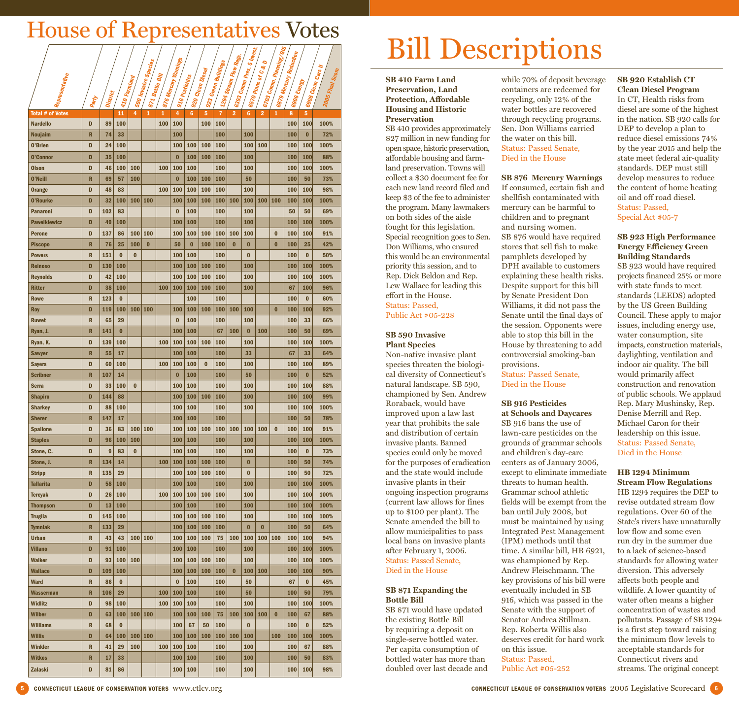# Bill Descriptions

#### **SB 410 Farm Land Preservation, Land Protection, Affordable Housing and Historic Preservation**

SB 410 provides approximately \$27 million in new funding for open space, historic preservation, affordable housing and farmland preservation. Towns will collect a \$30 document fee for each new land record filed and keep \$3 of the fee to administer the program. Many lawmakers on both sides of the aisle fought for this legislation. Special recognition goes to Sen. Don Williams, who ensured this would be an environmental priority this session, and to Rep. Dick Beldon and Rep. Lew Wallace for leading this effort in the House. Status: Passed, Public Act #05-228

#### **SB 590 Invasive Plant Species**

Non-native invasive plant species threaten the biological diversity of Connecticut's natural landscape. SB 590, championed by Sen. Andrew Roraback, would have improved upon a law last year that prohibits the sale and distribution of certain invasive plants. Banned species could only be moved for the purposes of eradication and the state would include invasive plants in their ongoing inspection programs (current law allows for fines up to \$100 per plant). The Senate amended the bill to allow municipalities to pass local bans on invasive plants after February 1, 2006. Status: Passed Senate, Died in the House

#### **SB 871 Expanding the Bottle Bill**

SB 871 would have updated the existing Bottle Bill by requiring a deposit on single-serve bottled water. Per capita consumption of bottled water has more than doubled over last decade and while 70% of deposit beverage containers are redeemed for recycling, only 12% of the water bottles are recovered through recycling programs. Sen. Don Williams carried the water on this bill. Status: Passed Senate, Died in the House

**SB 876 Mercury Warnings** If consumed, certain fish and shellfish contaminated with mercury can be harmful to children and to pregnant and nursing women. SB 876 would have required stores that sell fish to make pamphlets developed by DPH available to customers explaining these health risks. Despite support for this bill by Senate President Don Williams, it did not pass the Senate until the final days of the session. Opponents were able to stop this bill in the House by threatening to add controversial smoking-ban provisions.

Status: Passed Senate, Died in the House

#### **SB 916 Pesticides at Schools and Daycares**

SB 916 bans the use of lawn-care pesticides on the grounds of grammar schools and children's day-care centers as of January 2006, except to eliminate immediate threats to human health. Grammar school athletic fields will be exempt from the ban until July 2008, but must be maintained by using Integrated Pest Management (IPM) methods until that time. A similar bill, HB 6921, was championed by Rep. Andrew Fleischmann. The key provisions of his bill were eventually included in SB 916, which was passed in the Senate with the support of Senator Andrea Stillman. Rep. Roberta Willis also deserves credit for hard work on this issue. Status: Passed, Public Act #05-252

#### **SB 920 Establish CT Clean Diesel Program**

In CT, Health risks from diesel are some of the highest in the nation. SB 920 calls for DEP to develop a plan to reduce diesel emissions 74% by the year 2015 and help the state meet federal air-quality standards. DEP must still develop measures to reduce the content of home heating oil and off road diesel. Status: Passed, Special Act #05-7

#### **SB 923 High Performance Energy Efficiency Green Building Standards**

SB 923 would have required projects financed 25% or more with state funds to meet standards (LEEDS) adopted by the US Green Building Council. These apply to major issues, including energy use, water consumption, site impacts, construction materials, daylighting, ventilation and indoor air quality. The bill would primarily affect construction and renovation of public schools. We applaud Rep. Mary Mushinsky, Rep. Denise Merrill and Rep. Michael Caron for their leadership on this issue. Status: Passed Senate, Died in the House

#### **HB 1294 Minimum**

**Stream Flow Regulations**  HB 1294 requires the DEP to revise outdated stream flow regulations. Over 60 of the State's rivers have unnaturally low flow and some even run dry in the summer due to a lack of science-based standards for allowing water diversion. This adversely affects both people and wildlife. A lower quantity of water often means a higher concentration of wastes and pollutants. Passage of SB 1294 is a first step toward raising the minimum flow levels to acceptable standards for Connecticut rivers and streams. The original concept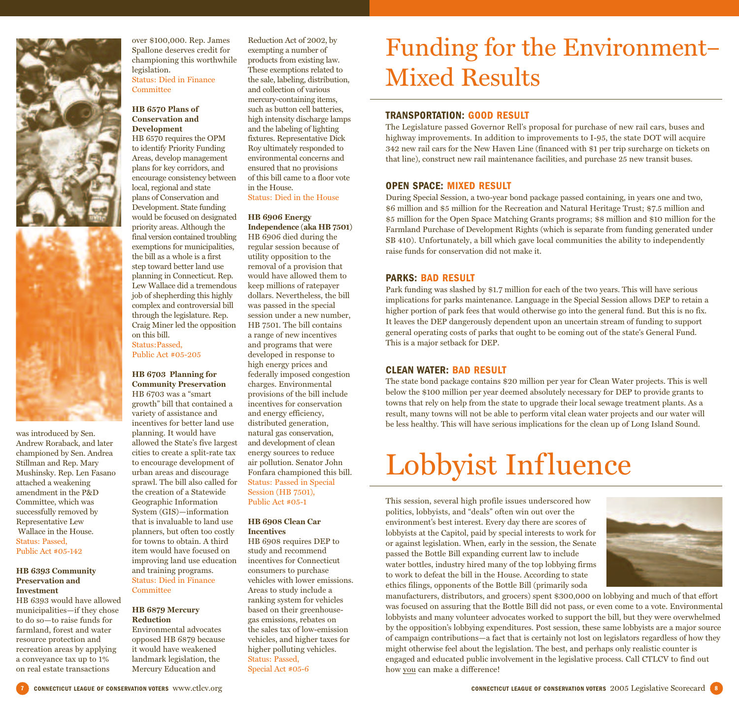

was introduced by Sen. Andrew Roraback, and later championed by Sen. Andrea Stillman and Rep. Mary Mushinsky. Rep. Len Fasano attached a weakening amendment in the P&D Committee, which was successfully removed by Representative Lew Wallace in the House. Status: Passed, Public Act #05-142

#### **HB 6393 Community Preservation and Investment**

HB 6393 would have allowed municipalities—if they chose to do so—to raise funds for farmland, forest and water resource protection and recreation areas by applying a conveyance tax up to 1% on real estate transactions

over \$100,000. Rep. James Spallone deserves credit for championing this worthwhile legislation. Status: Died in Finance **Committee** 

#### **HB 6570 Plans of Conservation and Development**

HB 6570 requires the OPM to identify Priority Funding Areas, develop management plans for key corridors, and encourage consistency between local, regional and state plans of Conservation and Development. State funding would be focused on designated priority areas. Although the final version contained troubling exemptions for municipalities, the bill as a whole is a first step toward better land use planning in Connecticut. Rep. Lew Wallace did a tremendous job of shepherding this highly complex and controversial bill through the legislature. Rep. Craig Miner led the opposition on this bill. Status:Passed, Public Act #05-205

#### **HB 6703 Planning for Community Preservation**

HB 6703 was a "smart growth" bill that contained a variety of assistance and incentives for better land use planning. It would have allowed the State's five largest cities to create a split-rate tax to encourage development of urban areas and discourage sprawl. The bill also called for the creation of a Statewide Geographic Information System (GIS)—information that is invaluable to land use planners, but often too costly for towns to obtain. A third item would have focused on improving land use education and training programs. Status: Died in Finance **Committee** 

#### **HB 6879 Mercury Reduction**

Environmental advocates opposed HB 6879 because it would have weakened landmark legislation, the Mercury Education and

Reduction Act of 2002, by exempting a number of products from existing law. These exemptions related to the sale, labeling, distribution, and collection of various mercury-containing items, such as button cell batteries, high intensity discharge lamps and the labeling of lighting fixtures. Representative Dick Roy ultimately responded to environmental concerns and ensured that no provisions of this bill came to a floor vote in the House. Status: Died in the House

#### **HB 6906 Energy**

**Independence (aka HB 7501)** HB 6906 died during the regular session because of utility opposition to the removal of a provision that would have allowed them to keep millions of ratepayer dollars. Nevertheless, the bill was passed in the special session under a new number, HB 7501. The bill contains a range of new incentives and programs that were developed in response to high energy prices and federally imposed congestion charges. Environmental provisions of the bill include incentives for conservation and energy efficiency, distributed generation, natural gas conservation, and development of clean energy sources to reduce air pollution. Senator John Fonfara championed this bill. Status: Passed in Special Session (HB 7501), Public Act #05-1

#### **HB 6908 Clean Car Incentives**

HB 6908 requires DEP to study and recommend incentives for Connecticut consumers to purchase vehicles with lower emissions. Areas to study include a ranking system for vehicles based on their greenhousegas emissions, rebates on the sales tax of low-emission vehicles, and higher taxes for higher polluting vehicles. Status: Passed, Special Act #05-6

## Funding for the Environment– Mixed Results

#### **TRANSPORTATION: GOOD RESULT**

The Legislature passed Governor Rell's proposal for purchase of new rail cars, buses and highway improvements. In addition to improvements to I-95, the state DOT will acquire 342 new rail cars for the New Haven Line (financed with \$1 per trip surcharge on tickets on that line), construct new rail maintenance facilities, and purchase 25 new transit buses.

#### **OPEN SPACE: MIXED RESULT**

During Special Session, a two-year bond package passed containing, in years one and two, \$6 million and \$5 million for the Recreation and Natural Heritage Trust; \$7.5 million and \$5 million for the Open Space Matching Grants programs; \$8 million and \$10 million for the Farmland Purchase of Development Rights (which is separate from funding generated under SB 410). Unfortunately, a bill which gave local communities the ability to independently raise funds for conservation did not make it.

#### **PARKS: BAD RESULT**

Park funding was slashed by \$1.7 million for each of the two years. This will have serious implications for parks maintenance. Language in the Special Session allows DEP to retain a higher portion of park fees that would otherwise go into the general fund. But this is no fix. It leaves the DEP dangerously dependent upon an uncertain stream of funding to support general operating costs of parks that ought to be coming out of the state's General Fund. This is a major setback for DEP.

#### **CLEAN WATER: BAD RESULT**

The state bond package contains \$20 million per year for Clean Water projects. This is well below the \$100 million per year deemed absolutely necessary for DEP to provide grants to towns that rely on help from the state to upgrade their local sewage treatment plants. As a result, many towns will not be able to perform vital clean water projects and our water will be less healthy. This will have serious implications for the clean up of Long Island Sound.

# Lobbyist Influence

This session, several high profile issues underscored how politics, lobbyists, and "deals" often win out over the environment's best interest. Every day there are scores of lobbyists at the Capitol, paid by special interests to work for or against legislation. When, early in the session, the Senate passed the Bottle Bill expanding current law to include water bottles, industry hired many of the top lobbying firms to work to defeat the bill in the House. According to state ethics filings, opponents of the Bottle Bill (primarily soda



manufacturers, distributors, and grocers) spent \$300,000 on lobbying and much of that effort was focused on assuring that the Bottle Bill did not pass, or even come to a vote. Environmental lobbyists and many volunteer advocates worked to support the bill, but they were overwhelmed by the opposition's lobbying expenditures. Post session, these same lobbyists are a major source of campaign contributions—a fact that is certainly not lost on legislators regardless of how they might otherwise feel about the legislation. The best, and perhaps only realistic counter is engaged and educated public involvement in the legislative process. Call CTLCV to find out how you can make a difference!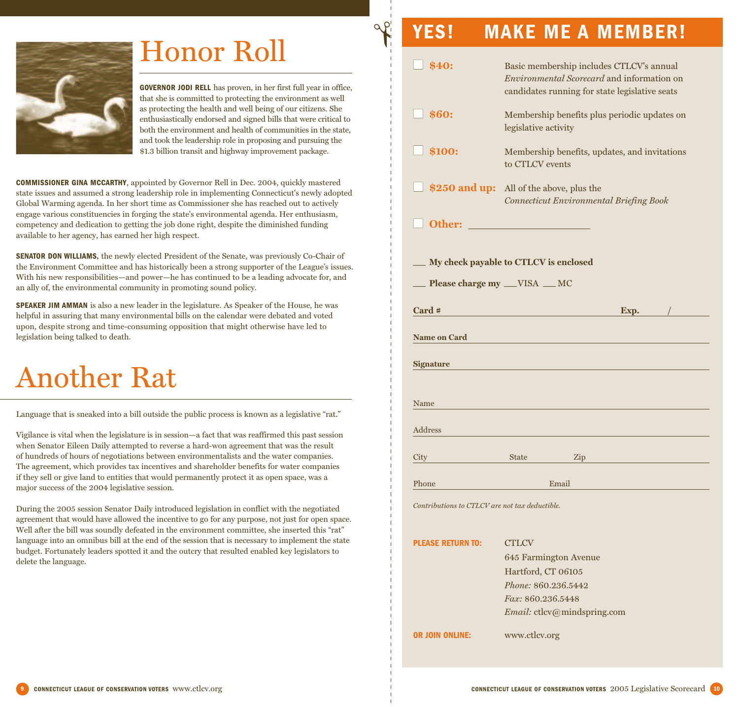

## Honor Roll

**GOVERNOR JODI RELL** has proven, in her first full year in office, that she is committed to protecting the environment as well as protecting the health and well being of our citizens. She enthusiastically endorsed and signed bills that were critical to both the environment and health of communities in the state, and took the leadership role in proposing and pursuing the \$1.3 billion transit and highway improvement package.

**✃**

**COMMISSIONER GINA MCCARTHY**, appointed by Governor Rell in Dec. 2004, quickly mastered state issues and assumed a strong leadership role in implementing Connecticut's newly adopted Global Warming agenda. In her short time as Commissioner she has reached out to actively engage various constituencies in forging the state's environmental agenda. Her enthusiasm, competency and dedication to getting the job done right, despite the diminished funding available to her agency, has earned her high respect.

**SENATOR DON WILLIAMS,** the newly elected President of the Senate, was previously Co-Chair of the Environment Committee and has historically been a strong supporter of the League's issues. With his new responsibilities—and power—he has continued to be a leading advocate for, and an ally of, the environmental community in promoting sound policy.

**SPEAKER JIM AMMAN** is also a new leader in the legislature. As Speaker of the House, he was helpful in assuring that many environmental bills on the calendar were debated and voted upon, despite strong and time-consuming opposition that might otherwise have led to legislation being talked to death.

# Another Rat

Language that is sneaked into a bill outside the public process is known as a legislative "rat."

Vigilance is vital when the legislature is in session—a fact that was reaffirmed this past session when Senator Eileen Daily attempted to reverse a hard-won agreement that was the result of hundreds of hours of negotiations between environmentalists and the water companies. The agreement, which provides tax incentives and shareholder benefits for water companies if they sell or give land to entities that would permanently protect it as open space, was a major success of the 2004 legislative session.

During the 2005 session Senator Daily introduced legislation in conflict with the negotiated agreement that would have allowed the incentive to go for any purpose, not just for open space. Well after the bill was soundly defeated in the environment committee, she inserted this "rat" language into an omnibus bill at the end of the session that is necessary to implement the state budget. Fortunately leaders spotted it and the outcry that resulted enabled key legislators to delete the language.

## **■ \$40:** Basic membership includes CTLCV's annual *Environmental Scorecard* and information on candidates running for state legislative seats **All \$60:** Membership benefits plus periodic updates on legislative activity **Alletterry Street Street Street Street Street Street Street Street Street Street Street Street Street Street Street Street Street Street Street Street Street Street Street Street Street Street Street Street Street Street** to CTLCV events **\$250 and up:** All of the above, plus the *Connecticut Environmental Briefing Book* **■ Other: My check payable to CTLCV is enclosed Please charge my \_\_VISA \_\_MC Card #** Exp. **Name on Card Signature** Name Address City State Zip Phone **Email** *Contributions to CTLCV are not tax deductible.* **PLEASE RETURN TO: CTLCV** 645 Farmington Avenue Hartford, CT 06105

**YES! MAKE ME A MEMBER!**

*Fax:* 860.236.5448 *Email:* ctlcv@mindspring.com

**OR JOIN ONLINE:** www.ctlcv.org

*Phone:* 860.236.5442